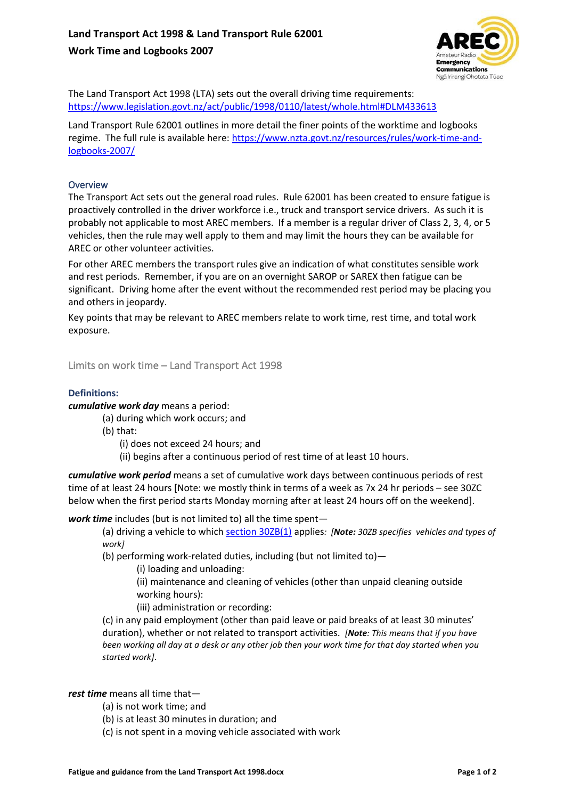

The Land Transport Act 1998 (LTA) sets out the overall driving time requirements: https://www.legislation.govt.nz/act/public/1998/0110/latest/whole.html#DLM433613

Land Transport Rule 62001 outlines in more detail the finer points of the worktime and logbooks regime. The full rule is available here: https://www.nzta.govt.nz/resources/rules/work-time-andlogbooks-2007/

# **Overview**

The Transport Act sets out the general road rules. Rule 62001 has been created to ensure fatigue is proactively controlled in the driver workforce i.e., truck and transport service drivers. As such it is probably not applicable to most AREC members. If a member is a regular driver of Class 2, 3, 4, or 5 vehicles, then the rule may well apply to them and may limit the hours they can be available for AREC or other volunteer activities.

For other AREC members the transport rules give an indication of what constitutes sensible work and rest periods. Remember, if you are on an overnight SAROP or SAREX then fatigue can be significant. Driving home after the event without the recommended rest period may be placing you and others in jeopardy.

Key points that may be relevant to AREC members relate to work time, rest time, and total work exposure.

Limits on work time – Land Transport Act 1998

### **Definitions:**

*cumulative work day* means a period:

- (a) during which work occurs; and
- (b) that:
	- (i) does not exceed 24 hours; and
	- (ii) begins after a continuous period of rest time of at least 10 hours.

*cumulative work period* means a set of cumulative work days between continuous periods of rest time of at least 24 hours [Note: we mostly think in terms of a week as 7x 24 hr periods – see 30ZC below when the first period starts Monday morning after at least 24 hours off on the weekend].

*work time* includes (but is not limited to) all the time spent—

(a) driving a vehicle to which section 30ZB(1) applies*: [Note: 30ZB specifies vehicles and types of work]*

(b) performing work-related duties, including (but not limited to)—

(i) loading and unloading:

(ii) maintenance and cleaning of vehicles (other than unpaid cleaning outside working hours):

(iii) administration or recording:

(c) in any paid employment (other than paid leave or paid breaks of at least 30 minutes' duration), whether or not related to transport activities. *[Note: This means that if you have been working all day at a desk or any other job then your work time for that day started when you started work]*.

*rest time* means all time that—

- (a) is not work time; and
- (b) is at least 30 minutes in duration; and
- (c) is not spent in a moving vehicle associated with work